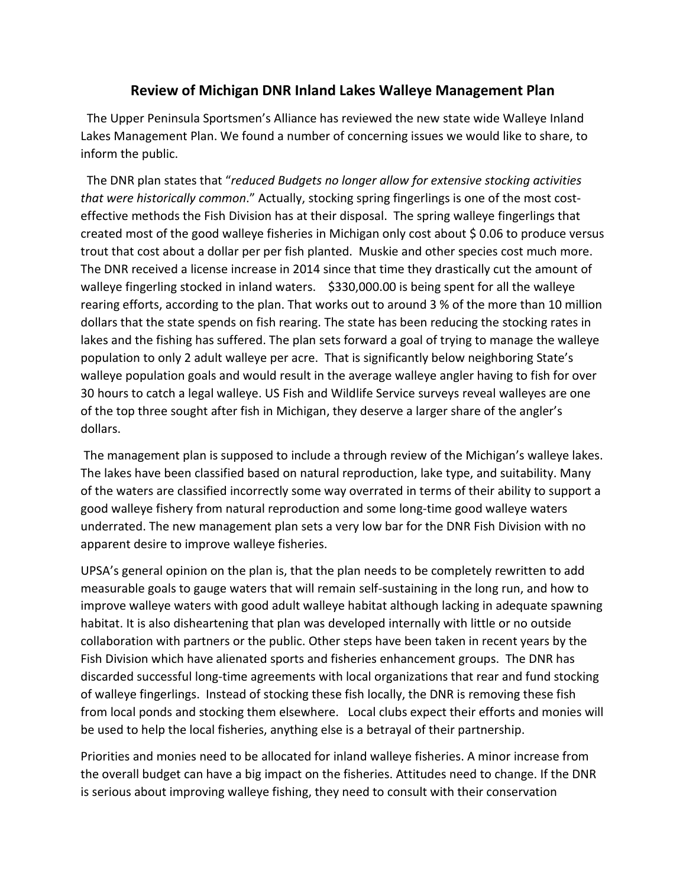## **Review of Michigan DNR Inland Lakes Walleye Management Plan**

 The Upper Peninsula Sportsmen's Alliance has reviewed the new state wide Walleye Inland Lakes Management Plan. We found a number of concerning issues we would like to share, to inform the public.

 The DNR plan states that "*reduced Budgets no longer allow for extensive stocking activities that were historically common*." Actually, stocking spring fingerlings is one of the most costeffective methods the Fish Division has at their disposal. The spring walleye fingerlings that created most of the good walleye fisheries in Michigan only cost about \$ 0.06 to produce versus trout that cost about a dollar per per fish planted. Muskie and other species cost much more. The DNR received a license increase in 2014 since that time they drastically cut the amount of walleye fingerling stocked in inland waters. \$330,000.00 is being spent for all the walleye rearing efforts, according to the plan. That works out to around 3 % of the more than 10 million dollars that the state spends on fish rearing. The state has been reducing the stocking rates in lakes and the fishing has suffered. The plan sets forward a goal of trying to manage the walleye population to only 2 adult walleye per acre. That is significantly below neighboring State's walleye population goals and would result in the average walleye angler having to fish for over 30 hours to catch a legal walleye. US Fish and Wildlife Service surveys reveal walleyes are one of the top three sought after fish in Michigan, they deserve a larger share of the angler's dollars.

The management plan is supposed to include a through review of the Michigan's walleye lakes. The lakes have been classified based on natural reproduction, lake type, and suitability. Many of the waters are classified incorrectly some way overrated in terms of their ability to support a good walleye fishery from natural reproduction and some long-time good walleye waters underrated. The new management plan sets a very low bar for the DNR Fish Division with no apparent desire to improve walleye fisheries.

UPSA's general opinion on the plan is, that the plan needs to be completely rewritten to add measurable goals to gauge waters that will remain self-sustaining in the long run, and how to improve walleye waters with good adult walleye habitat although lacking in adequate spawning habitat. It is also disheartening that plan was developed internally with little or no outside collaboration with partners or the public. Other steps have been taken in recent years by the Fish Division which have alienated sports and fisheries enhancement groups. The DNR has discarded successful long-time agreements with local organizations that rear and fund stocking of walleye fingerlings. Instead of stocking these fish locally, the DNR is removing these fish from local ponds and stocking them elsewhere. Local clubs expect their efforts and monies will be used to help the local fisheries, anything else is a betrayal of their partnership.

Priorities and monies need to be allocated for inland walleye fisheries. A minor increase from the overall budget can have a big impact on the fisheries. Attitudes need to change. If the DNR is serious about improving walleye fishing, they need to consult with their conservation